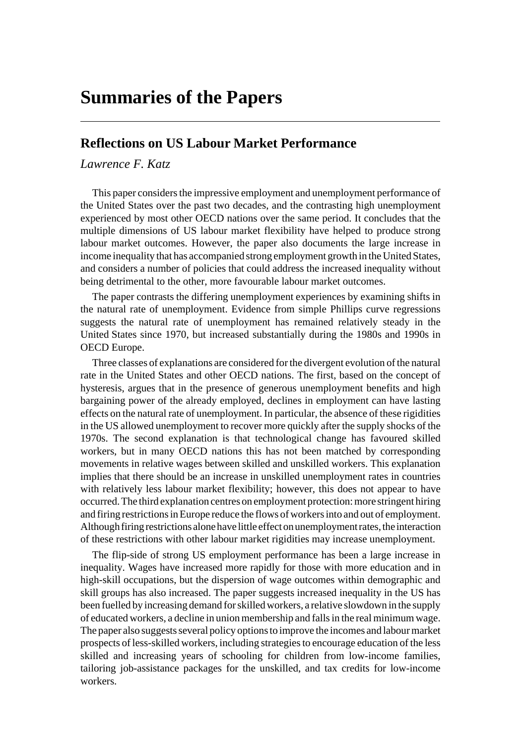# **Summaries of the Papers**

### **Reflections on US Labour Market Performance**

## *Lawrence F. Katz*

This paper considers the impressive employment and unemployment performance of the United States over the past two decades, and the contrasting high unemployment experienced by most other OECD nations over the same period. It concludes that the multiple dimensions of US labour market flexibility have helped to produce strong labour market outcomes. However, the paper also documents the large increase in income inequality that has accompanied strong employment growth in the United States, and considers a number of policies that could address the increased inequality without being detrimental to the other, more favourable labour market outcomes.

The paper contrasts the differing unemployment experiences by examining shifts in the natural rate of unemployment. Evidence from simple Phillips curve regressions suggests the natural rate of unemployment has remained relatively steady in the United States since 1970, but increased substantially during the 1980s and 1990s in OECD Europe.

Three classes of explanations are considered for the divergent evolution of the natural rate in the United States and other OECD nations. The first, based on the concept of hysteresis, argues that in the presence of generous unemployment benefits and high bargaining power of the already employed, declines in employment can have lasting effects on the natural rate of unemployment. In particular, the absence of these rigidities in the US allowed unemployment to recover more quickly after the supply shocks of the 1970s. The second explanation is that technological change has favoured skilled workers, but in many OECD nations this has not been matched by corresponding movements in relative wages between skilled and unskilled workers. This explanation implies that there should be an increase in unskilled unemployment rates in countries with relatively less labour market flexibility; however, this does not appear to have occurred. The third explanation centres on employment protection: more stringent hiring and firing restrictions in Europe reduce the flows of workers into and out of employment. Although firing restrictions alone have little effect on unemployment rates, the interaction of these restrictions with other labour market rigidities may increase unemployment.

The flip-side of strong US employment performance has been a large increase in inequality. Wages have increased more rapidly for those with more education and in high-skill occupations, but the dispersion of wage outcomes within demographic and skill groups has also increased. The paper suggests increased inequality in the US has been fuelled by increasing demand for skilled workers, a relative slowdown in the supply of educated workers, a decline in union membership and falls in the real minimum wage. The paper also suggests several policy options to improve the incomes and labour market prospects of less-skilled workers, including strategies to encourage education of the less skilled and increasing years of schooling for children from low-income families, tailoring job-assistance packages for the unskilled, and tax credits for low-income workers.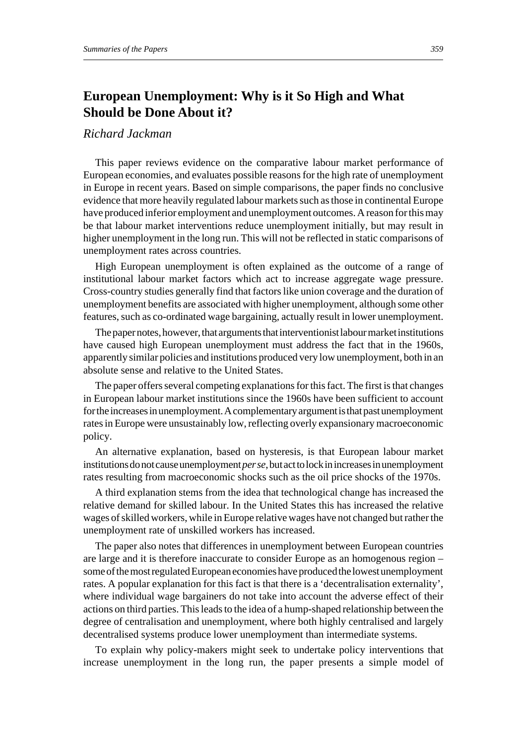## **European Unemployment: Why is it So High and What Should be Done About it?**

### *Richard Jackman*

This paper reviews evidence on the comparative labour market performance of European economies, and evaluates possible reasons for the high rate of unemployment in Europe in recent years. Based on simple comparisons, the paper finds no conclusive evidence that more heavily regulated labour markets such as those in continental Europe have produced inferior employment and unemployment outcomes. A reason for this may be that labour market interventions reduce unemployment initially, but may result in higher unemployment in the long run. This will not be reflected in static comparisons of unemployment rates across countries.

High European unemployment is often explained as the outcome of a range of institutional labour market factors which act to increase aggregate wage pressure. Cross-country studies generally find that factors like union coverage and the duration of unemployment benefits are associated with higher unemployment, although some other features, such as co-ordinated wage bargaining, actually result in lower unemployment.

The paper notes, however, that arguments that interventionist labour market institutions have caused high European unemployment must address the fact that in the 1960s, apparently similar policies and institutions produced very low unemployment, both in an absolute sense and relative to the United States.

The paper offers several competing explanations for this fact. The first is that changes in European labour market institutions since the 1960s have been sufficient to account for the increases in unemployment. A complementary argument is that past unemployment rates in Europe were unsustainably low, reflecting overly expansionary macroeconomic policy.

An alternative explanation, based on hysteresis, is that European labour market institutions do not cause unemployment *per se*, but act to lock in increases in unemployment rates resulting from macroeconomic shocks such as the oil price shocks of the 1970s.

A third explanation stems from the idea that technological change has increased the relative demand for skilled labour. In the United States this has increased the relative wages of skilled workers, while in Europe relative wages have not changed but rather the unemployment rate of unskilled workers has increased.

The paper also notes that differences in unemployment between European countries are large and it is therefore inaccurate to consider Europe as an homogenous region – some of the most regulated European economies have produced the lowest unemployment rates. A popular explanation for this fact is that there is a 'decentralisation externality', where individual wage bargainers do not take into account the adverse effect of their actions on third parties. This leads to the idea of a hump-shaped relationship between the degree of centralisation and unemployment, where both highly centralised and largely decentralised systems produce lower unemployment than intermediate systems.

To explain why policy-makers might seek to undertake policy interventions that increase unemployment in the long run, the paper presents a simple model of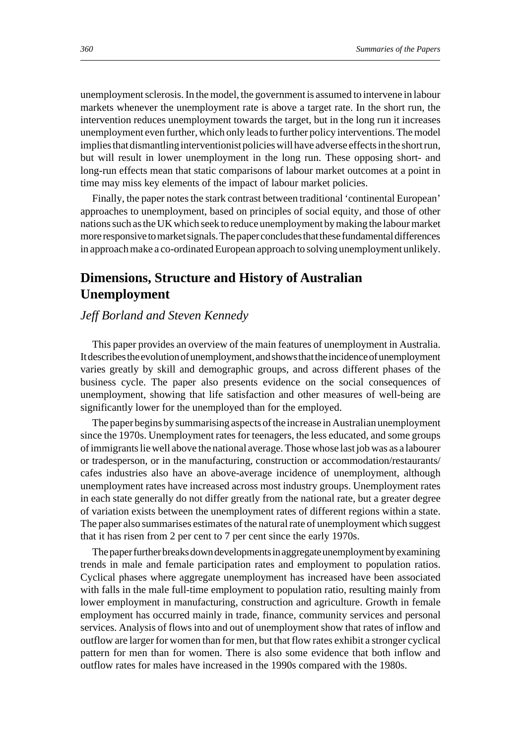unemployment sclerosis. In the model, the government is assumed to intervene in labour markets whenever the unemployment rate is above a target rate. In the short run, the intervention reduces unemployment towards the target, but in the long run it increases unemployment even further, which only leads to further policy interventions. The model implies that dismantling interventionist policies will have adverse effects in the short run, but will result in lower unemployment in the long run. These opposing short- and long-run effects mean that static comparisons of labour market outcomes at a point in time may miss key elements of the impact of labour market policies.

Finally, the paper notes the stark contrast between traditional 'continental European' approaches to unemployment, based on principles of social equity, and those of other nations such as the UK which seek to reduce unemployment by making the labour market more responsive to market signals. The paper concludes that these fundamental differences in approach make a co-ordinated European approach to solving unemployment unlikely.

## **Dimensions, Structure and History of Australian Unemployment**

### *Jeff Borland and Steven Kennedy*

This paper provides an overview of the main features of unemployment in Australia. It describes the evolution of unemployment, and shows that the incidence of unemployment varies greatly by skill and demographic groups, and across different phases of the business cycle. The paper also presents evidence on the social consequences of unemployment, showing that life satisfaction and other measures of well-being are significantly lower for the unemployed than for the employed.

The paper begins by summarising aspects of the increase in Australian unemployment since the 1970s. Unemployment rates for teenagers, the less educated, and some groups of immigrants lie well above the national average. Those whose last job was as a labourer or tradesperson, or in the manufacturing, construction or accommodation/restaurants/ cafes industries also have an above-average incidence of unemployment, although unemployment rates have increased across most industry groups. Unemployment rates in each state generally do not differ greatly from the national rate, but a greater degree of variation exists between the unemployment rates of different regions within a state. The paper also summarises estimates of the natural rate of unemployment which suggest that it has risen from 2 per cent to 7 per cent since the early 1970s.

The paper further breaks down developments in aggregate unemployment by examining trends in male and female participation rates and employment to population ratios. Cyclical phases where aggregate unemployment has increased have been associated with falls in the male full-time employment to population ratio, resulting mainly from lower employment in manufacturing, construction and agriculture. Growth in female employment has occurred mainly in trade, finance, community services and personal services. Analysis of flows into and out of unemployment show that rates of inflow and outflow are larger for women than for men, but that flow rates exhibit a stronger cyclical pattern for men than for women. There is also some evidence that both inflow and outflow rates for males have increased in the 1990s compared with the 1980s.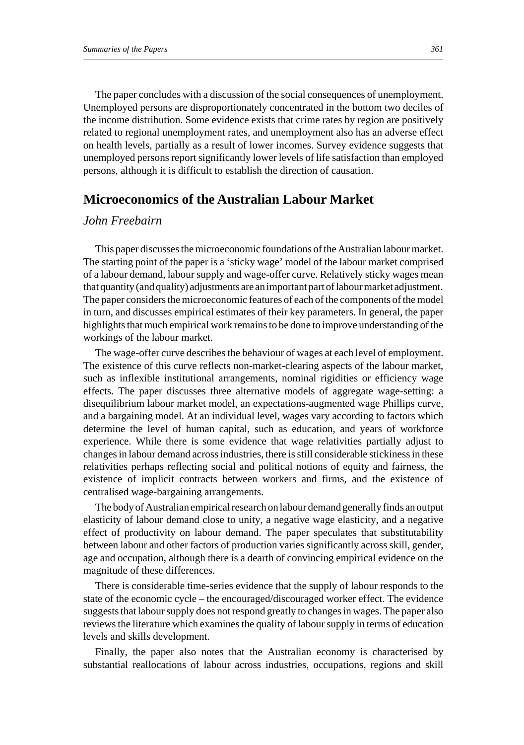The paper concludes with a discussion of the social consequences of unemployment. Unemployed persons are disproportionately concentrated in the bottom two deciles of the income distribution. Some evidence exists that crime rates by region are positively related to regional unemployment rates, and unemployment also has an adverse effect on health levels, partially as a result of lower incomes. Survey evidence suggests that unemployed persons report significantly lower levels of life satisfaction than employed persons, although it is difficult to establish the direction of causation.

## **Microeconomics of the Australian Labour Market**

### *John Freebairn*

This paper discusses the microeconomic foundations of the Australian labour market. The starting point of the paper is a 'sticky wage' model of the labour market comprised of a labour demand, labour supply and wage-offer curve. Relatively sticky wages mean that quantity (and quality) adjustments are an important part of labour market adjustment. The paper considers the microeconomic features of each of the components of the model in turn, and discusses empirical estimates of their key parameters. In general, the paper highlights that much empirical work remains to be done to improve understanding of the workings of the labour market.

The wage-offer curve describes the behaviour of wages at each level of employment. The existence of this curve reflects non-market-clearing aspects of the labour market, such as inflexible institutional arrangements, nominal rigidities or efficiency wage effects. The paper discusses three alternative models of aggregate wage-setting: a disequilibrium labour market model, an expectations-augmented wage Phillips curve, and a bargaining model. At an individual level, wages vary according to factors which determine the level of human capital, such as education, and years of workforce experience. While there is some evidence that wage relativities partially adjust to changes in labour demand across industries, there is still considerable stickiness in these relativities perhaps reflecting social and political notions of equity and fairness, the existence of implicit contracts between workers and firms, and the existence of centralised wage-bargaining arrangements.

The body of Australian empirical research on labour demand generally finds an output elasticity of labour demand close to unity, a negative wage elasticity, and a negative effect of productivity on labour demand. The paper speculates that substitutability between labour and other factors of production varies significantly across skill, gender, age and occupation, although there is a dearth of convincing empirical evidence on the magnitude of these differences.

There is considerable time-series evidence that the supply of labour responds to the state of the economic cycle – the encouraged/discouraged worker effect. The evidence suggests that labour supply does not respond greatly to changes in wages. The paper also reviews the literature which examines the quality of labour supply in terms of education levels and skills development.

Finally, the paper also notes that the Australian economy is characterised by substantial reallocations of labour across industries, occupations, regions and skill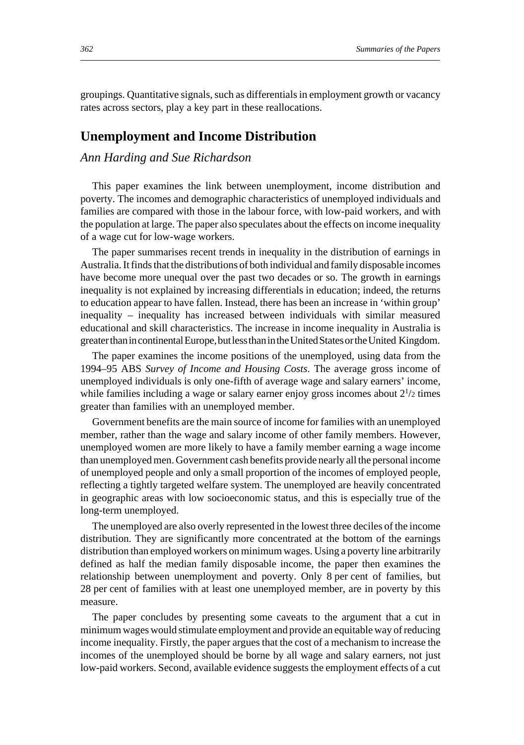groupings. Quantitative signals, such as differentials in employment growth or vacancy rates across sectors, play a key part in these reallocations.

## **Unemployment and Income Distribution**

#### *Ann Harding and Sue Richardson*

This paper examines the link between unemployment, income distribution and poverty. The incomes and demographic characteristics of unemployed individuals and families are compared with those in the labour force, with low-paid workers, and with the population at large. The paper also speculates about the effects on income inequality of a wage cut for low-wage workers.

The paper summarises recent trends in inequality in the distribution of earnings in Australia. It finds that the distributions of both individual and family disposable incomes have become more unequal over the past two decades or so. The growth in earnings inequality is not explained by increasing differentials in education; indeed, the returns to education appear to have fallen. Instead, there has been an increase in 'within group' inequality – inequality has increased between individuals with similar measured educational and skill characteristics. The increase in income inequality in Australia is greater than in continental Europe, but less than in the United States or the United Kingdom.

The paper examines the income positions of the unemployed, using data from the 1994–95 ABS *Survey of Income and Housing Costs*. The average gross income of unemployed individuals is only one-fifth of average wage and salary earners' income, while families including a wage or salary earner enjoy gross incomes about  $2^{1/2}$  times greater than families with an unemployed member.

Government benefits are the main source of income for families with an unemployed member, rather than the wage and salary income of other family members. However, unemployed women are more likely to have a family member earning a wage income than unemployed men. Government cash benefits provide nearly all the personal income of unemployed people and only a small proportion of the incomes of employed people, reflecting a tightly targeted welfare system. The unemployed are heavily concentrated in geographic areas with low socioeconomic status, and this is especially true of the long-term unemployed.

The unemployed are also overly represented in the lowest three deciles of the income distribution. They are significantly more concentrated at the bottom of the earnings distribution than employed workers on minimum wages. Using a poverty line arbitrarily defined as half the median family disposable income, the paper then examines the relationship between unemployment and poverty. Only 8 per cent of families, but 28 per cent of families with at least one unemployed member, are in poverty by this measure.

The paper concludes by presenting some caveats to the argument that a cut in minimum wages would stimulate employment and provide an equitable way of reducing income inequality. Firstly, the paper argues that the cost of a mechanism to increase the incomes of the unemployed should be borne by all wage and salary earners, not just low-paid workers. Second, available evidence suggests the employment effects of a cut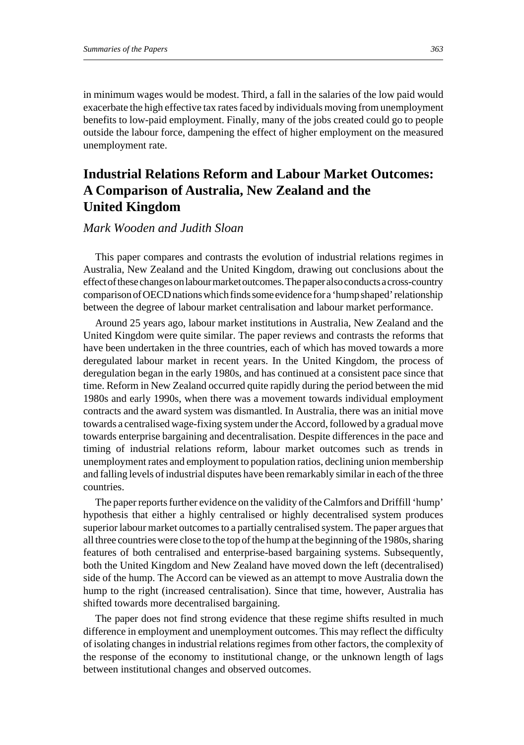in minimum wages would be modest. Third, a fall in the salaries of the low paid would exacerbate the high effective tax rates faced by individuals moving from unemployment benefits to low-paid employment. Finally, many of the jobs created could go to people outside the labour force, dampening the effect of higher employment on the measured unemployment rate.

## **Industrial Relations Reform and Labour Market Outcomes: A Comparison of Australia, New Zealand and the United Kingdom**

### *Mark Wooden and Judith Sloan*

This paper compares and contrasts the evolution of industrial relations regimes in Australia, New Zealand and the United Kingdom, drawing out conclusions about the effect of these changes on labour market outcomes. The paper also conducts a cross-country comparison of OECD nations which finds some evidence for a 'hump shaped' relationship between the degree of labour market centralisation and labour market performance.

Around 25 years ago, labour market institutions in Australia, New Zealand and the United Kingdom were quite similar. The paper reviews and contrasts the reforms that have been undertaken in the three countries, each of which has moved towards a more deregulated labour market in recent years. In the United Kingdom, the process of deregulation began in the early 1980s, and has continued at a consistent pace since that time. Reform in New Zealand occurred quite rapidly during the period between the mid 1980s and early 1990s, when there was a movement towards individual employment contracts and the award system was dismantled. In Australia, there was an initial move towards a centralised wage-fixing system under the Accord, followed by a gradual move towards enterprise bargaining and decentralisation. Despite differences in the pace and timing of industrial relations reform, labour market outcomes such as trends in unemployment rates and employment to population ratios, declining union membership and falling levels of industrial disputes have been remarkably similar in each of the three countries.

The paper reports further evidence on the validity of the Calmfors and Driffill 'hump' hypothesis that either a highly centralised or highly decentralised system produces superior labour market outcomes to a partially centralised system. The paper argues that all three countries were close to the top of the hump at the beginning of the 1980s, sharing features of both centralised and enterprise-based bargaining systems. Subsequently, both the United Kingdom and New Zealand have moved down the left (decentralised) side of the hump. The Accord can be viewed as an attempt to move Australia down the hump to the right (increased centralisation). Since that time, however, Australia has shifted towards more decentralised bargaining.

The paper does not find strong evidence that these regime shifts resulted in much difference in employment and unemployment outcomes. This may reflect the difficulty of isolating changes in industrial relations regimes from other factors, the complexity of the response of the economy to institutional change, or the unknown length of lags between institutional changes and observed outcomes.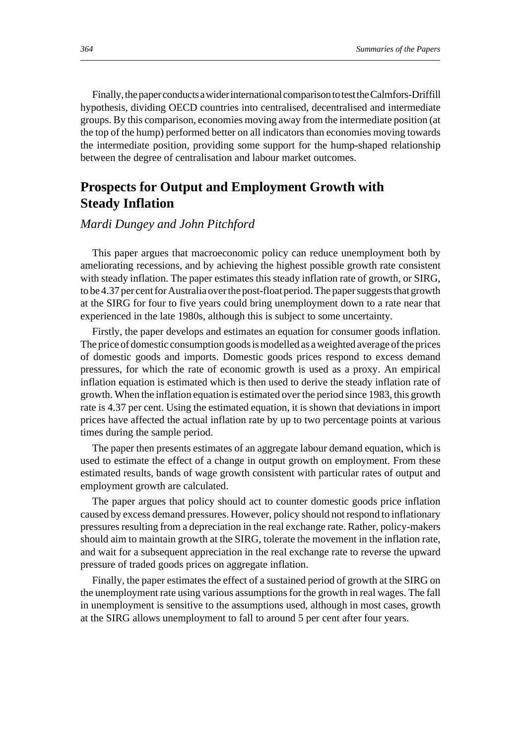Finally, the paper conducts a wider international comparison to test the Calmfors-Driffill hypothesis, dividing OECD countries into centralised, decentralised and intermediate groups. By this comparison, economies moving away from the intermediate position (at the top of the hump) performed better on all indicators than economies moving towards the intermediate position, providing some support for the hump-shaped relationship between the degree of centralisation and labour market outcomes.

## **Prospects for Output and Employment Growth with Steady Inflation**

#### *Mardi Dungey and John Pitchford*

This paper argues that macroeconomic policy can reduce unemployment both by ameliorating recessions, and by achieving the highest possible growth rate consistent with steady inflation. The paper estimates this steady inflation rate of growth, or SIRG, to be 4.37 per cent for Australia over the post-float period. The paper suggests that growth at the SIRG for four to five years could bring unemployment down to a rate near that experienced in the late 1980s, although this is subject to some uncertainty.

Firstly, the paper develops and estimates an equation for consumer goods inflation. The price of domestic consumption goods is modelled as a weighted average of the prices of domestic goods and imports. Domestic goods prices respond to excess demand pressures, for which the rate of economic growth is used as a proxy. An empirical inflation equation is estimated which is then used to derive the steady inflation rate of growth. When the inflation equation is estimated over the period since 1983, this growth rate is 4.37 per cent. Using the estimated equation, it is shown that deviations in import prices have affected the actual inflation rate by up to two percentage points at various times during the sample period.

The paper then presents estimates of an aggregate labour demand equation, which is used to estimate the effect of a change in output growth on employment. From these estimated results, bands of wage growth consistent with particular rates of output and employment growth are calculated.

The paper argues that policy should act to counter domestic goods price inflation caused by excess demand pressures. However, policy should not respond to inflationary pressures resulting from a depreciation in the real exchange rate. Rather, policy-makers should aim to maintain growth at the SIRG, tolerate the movement in the inflation rate, and wait for a subsequent appreciation in the real exchange rate to reverse the upward pressure of traded goods prices on aggregate inflation.

Finally, the paper estimates the effect of a sustained period of growth at the SIRG on the unemployment rate using various assumptions for the growth in real wages. The fall in unemployment is sensitive to the assumptions used, although in most cases, growth at the SIRG allows unemployment to fall to around 5 per cent after four years.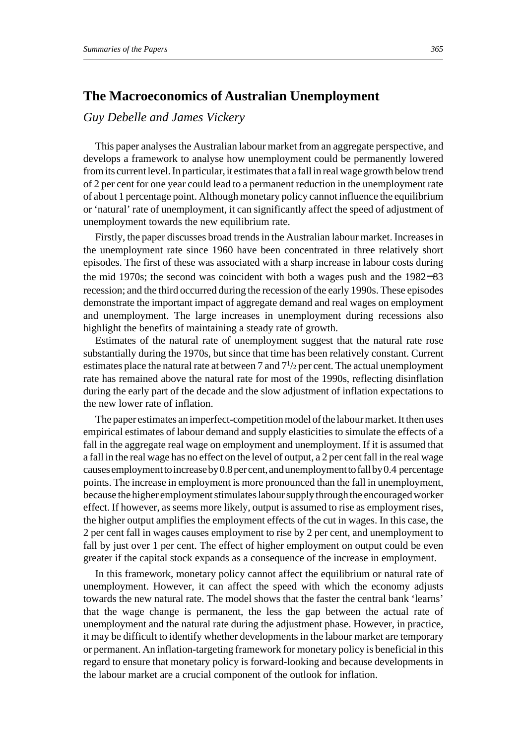## **The Macroeconomics of Australian Unemployment**

*Guy Debelle and James Vickery*

This paper analyses the Australian labour market from an aggregate perspective, and develops a framework to analyse how unemployment could be permanently lowered from its current level. In particular, it estimates that a fall in real wage growth below trend of 2 per cent for one year could lead to a permanent reduction in the unemployment rate of about 1 percentage point. Although monetary policy cannot influence the equilibrium or 'natural' rate of unemployment, it can significantly affect the speed of adjustment of unemployment towards the new equilibrium rate.

Firstly, the paper discusses broad trends in the Australian labour market. Increases in the unemployment rate since 1960 have been concentrated in three relatively short episodes. The first of these was associated with a sharp increase in labour costs during the mid 1970s; the second was coincident with both a wages push and the 1982−83 recession; and the third occurred during the recession of the early 1990s. These episodes demonstrate the important impact of aggregate demand and real wages on employment and unemployment. The large increases in unemployment during recessions also highlight the benefits of maintaining a steady rate of growth.

Estimates of the natural rate of unemployment suggest that the natural rate rose substantially during the 1970s, but since that time has been relatively constant. Current estimates place the natural rate at between 7 and  $7^{1/2}$  per cent. The actual unemployment rate has remained above the natural rate for most of the 1990s, reflecting disinflation during the early part of the decade and the slow adjustment of inflation expectations to the new lower rate of inflation.

The paper estimates an imperfect-competition model of the labour market. It then uses empirical estimates of labour demand and supply elasticities to simulate the effects of a fall in the aggregate real wage on employment and unemployment. If it is assumed that a fall in the real wage has no effect on the level of output, a 2 per cent fall in the real wage causes employment to increase by 0.8 per cent, and unemployment to fall by 0.4 percentage points. The increase in employment is more pronounced than the fall in unemployment, because the higher employment stimulates labour supply through the encouraged worker effect. If however, as seems more likely, output is assumed to rise as employment rises, the higher output amplifies the employment effects of the cut in wages. In this case, the 2 per cent fall in wages causes employment to rise by 2 per cent, and unemployment to fall by just over 1 per cent. The effect of higher employment on output could be even greater if the capital stock expands as a consequence of the increase in employment.

In this framework, monetary policy cannot affect the equilibrium or natural rate of unemployment. However, it can affect the speed with which the economy adjusts towards the new natural rate. The model shows that the faster the central bank 'learns' that the wage change is permanent, the less the gap between the actual rate of unemployment and the natural rate during the adjustment phase. However, in practice, it may be difficult to identify whether developments in the labour market are temporary or permanent. An inflation-targeting framework for monetary policy is beneficial in this regard to ensure that monetary policy is forward-looking and because developments in the labour market are a crucial component of the outlook for inflation.